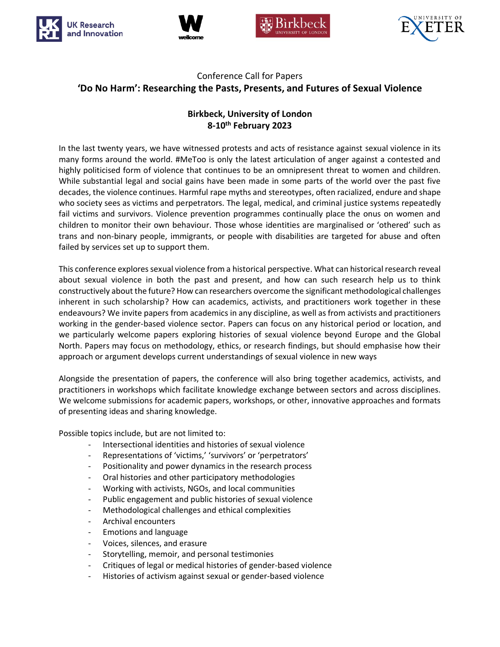







## Conference Call for Papers **'Do No Harm': Researching the Pasts, Presents, and Futures of Sexual Violence**

## **Birkbeck, University of London 8-10th February 2023**

In the last twenty years, we have witnessed protests and acts of resistance against sexual violence in its many forms around the world. #MeToo is only the latest articulation of anger against a contested and highly politicised form of violence that continues to be an omnipresent threat to women and children. While substantial legal and social gains have been made in some parts of the world over the past five decades, the violence continues. Harmful rape myths and stereotypes, often racialized, endure and shape who society sees as victims and perpetrators. The legal, medical, and criminal justice systems repeatedly fail victims and survivors. Violence prevention programmes continually place the onus on women and children to monitor their own behaviour. Those whose identities are marginalised or 'othered' such as trans and non-binary people, immigrants, or people with disabilities are targeted for abuse and often failed by services set up to support them.

This conference explores sexual violence from a historical perspective. What can historical research reveal about sexual violence in both the past and present, and how can such research help us to think constructively about the future? How can researchers overcome the significant methodological challenges inherent in such scholarship? How can academics, activists, and practitioners work together in these endeavours? We invite papers from academics in any discipline, as well as from activists and practitioners working in the gender-based violence sector. Papers can focus on any historical period or location, and we particularly welcome papers exploring histories of sexual violence beyond Europe and the Global North. Papers may focus on methodology, ethics, or research findings, but should emphasise how their approach or argument develops current understandings of sexual violence in new ways

Alongside the presentation of papers, the conference will also bring together academics, activists, and practitioners in workshops which facilitate knowledge exchange between sectors and across disciplines. We welcome submissions for academic papers, workshops, or other, innovative approaches and formats of presenting ideas and sharing knowledge.

Possible topics include, but are not limited to:

- Intersectional identities and histories of sexual violence
- Representations of 'victims,' 'survivors' or 'perpetrators'
- Positionality and power dynamics in the research process
- Oral histories and other participatory methodologies
- Working with activists, NGOs, and local communities
- Public engagement and public histories of sexual violence
- Methodological challenges and ethical complexities
- Archival encounters
- Emotions and language
- Voices, silences, and erasure
- Storytelling, memoir, and personal testimonies
- Critiques of legal or medical histories of gender-based violence
- Histories of activism against sexual or gender-based violence